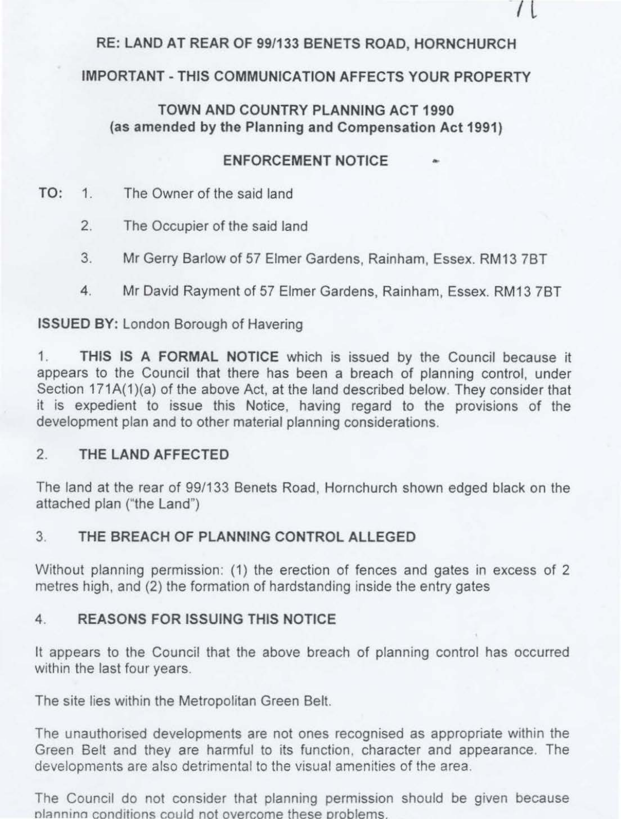# **RE: LAND AT REAR OF 99/133 BENETS ROAD, HORNCHURCH**

 $\mathfrak l$ 

## **IMPORTANT-THIS COMMUNICATION AFFECTS YOUR PROPERTY**

## **TOWN AND COUNTRY PLANNING ACT 1990 (as amended by the Planning and Compensation Act 1991)**

## **ENFORCEMENT NOTICE**

- **TO:** 1. The Owner of the said land
	- 2. The Occupier of the said land
	- 3. Mr Gerry Barlow of 57 Elmer Gardens, Rainham, Essex. RM13 78T
	- 4. Mr David Rayment of 57 Elmer Gardens, Rainham, Essex. RM13 78T

## **ISSUED BY:** London Borough of Havering

1. **THIS IS A FORMAL NOTICE** which is issued by the Council because it appears to the Council that there has been a breach of planning control, under Section 171A(1)(a) of the above Act, at the land described below. They consider that it is expedient to issue this Notice, having regard to the provisions of the development plan and to other material planning considerations.

## 2. **THE LAND AFFECTED**

The land at the rear of 99/133 Benets Road, Hornchurch shown edged black on the attached plan ("the Land")

## **3. THE BREACH OF PLANNING CONTROL ALLEGED**

Without planning permission: (1) the erection of fences and gates in excess of 2 metres high, and (2) the formation of hardstanding inside the entry gates

## **4. REASONS FOR ISSUING THIS NOTICE**

It appears to the Council that the above breach of planning control has occurred within the last four years.

The site lies within the Metropolitan Green Belt.

The unauthorised developments are not ones recognised as appropriate within the Green Belt and they are harmful to its function, character and appearance. The developments are also detrimental to the visual amenities of the area.

The Council do not consider that planning permission should be given because planning conditions could not overcome these problems.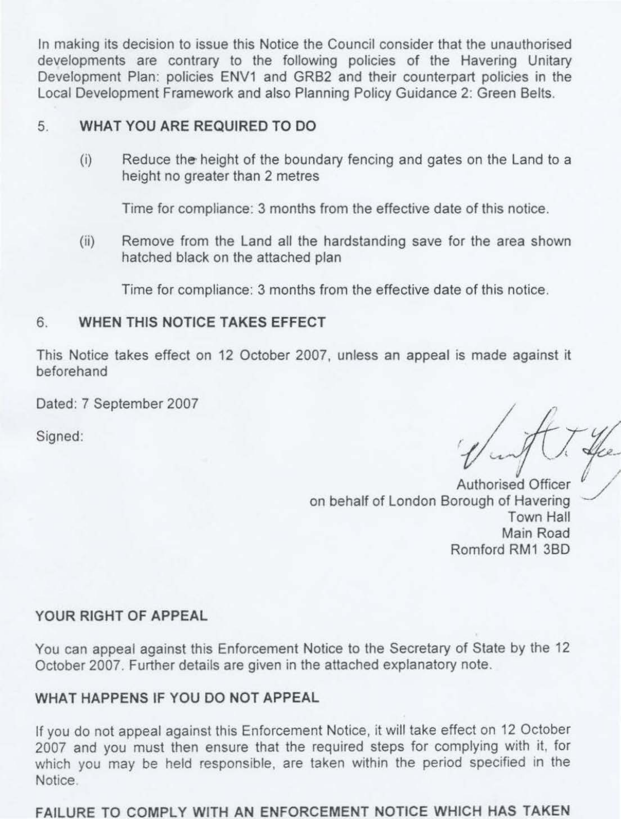In making its decision to issue this Notice the Council consider that the unauthorised developments are contrary to the following policies of the Havering Unitary Development Plan: policies ENV1 and GRB2 and their counterpart policies in the Local Development Framework and also Planning Policy Guidance 2: Green Belts.

#### 5. **WHAT YOU ARE REQUIRED TO DO**

(i) Reduce the- height of the boundary fencing and gates on the Land to a height no greater than 2 metres

Time for compliance: 3 months from the effective date of this notice.

(ii) Remove from the Land all the hardstanding save for the area shown hatched black on the attached plan

Time for compliance: 3 months from the effective date of this notice.

#### 6. **WHEN THIS NOTICE TAKES EFFECT**

This Notice takes effect on 12 October 2007, unless an appeal is made against it beforehand

Dated: 7 September 2007

Signed:  $\sqrt{1-\frac{y}{x}}$ <br>Signed:  $\sqrt{\frac{y}{x}}$ 

Authorised Officer on behalf of London Borough of Havering Town Hall Main Road Romford RM1 380

#### **YOUR RIGHT OF APPEAL**

You can appeal against this Enforcement Notice to the Secretary of State by the 12 October 2007. Further details are given in the attached explanatory note.

#### **WHAT HAPPENS** IF **YOU DO NOT APPEAL**

If you do not appeal against this Enforcement Notice, it will take effect on 12 October 2007 and you must then ensure that the required steps for complying with it, for which you may be held responsible, are taken within the period specified in the Notice

FAILURE TO COMPLY WITH AN ENFORCEMENT NOTICE WHICH HAS TAKEN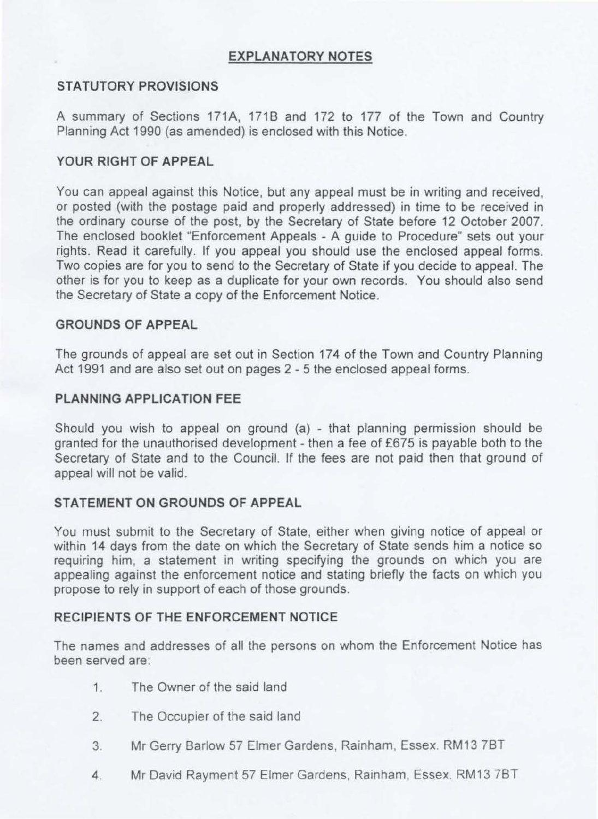## **EXPLANATORY NOTES**

## **STATUTORY PROVISIONS**

A summary of Sections 171A, 171B and 172 to 177 of the Town and Country Planning Act 1990 (as amended) is enclosed with this Notice.

## **YOUR RIGHT OF APPEAL**

You can appeal against this Notice, but any appeal must be in writing and received, or posted (with the postage paid and properly addressed) in time to be received in the ordinary course of the post, by the Secretary of State before 12 October 2007. The enclosed booklet "Enforcement Appeals - A guide to Procedure" sets out your rights. Read it carefully. If you appeal you should use the enclosed appeal forms. Two copies are for you to send to the Secretary of State if you decide to appeal. The other is for you to keep as a duplicate for your own records. You should also send the Secretary of State a copy of the Enforcement Notice.

## **GROUNDS OF APPEAL**

The grounds of appeal are set out in Section 174 of the Town and Country Planning Act 1991 and are also set out on pages 2 - 5 the enclosed appeal forms.

## **PLANNING APPLICATION FEE**

Should you wish to appeal on ground  $(a)$  - that planning permission should be granted for the unauthorised development - then a fee of £675 is payable both to the Secretary of State and to the Council. If the fees are not paid then that ground of appeal will not be valid.

## **STATEMENT ON GROUNDS OF APPEAL**

You must submit to the Secretary of State, either when giving notice of appeal or within 14 days from the date on which the Secretary of State sends him a notice so requiring him, a statement in writing specifying the grounds on which you are appealing against the enforcement notice and stating briefly the facts on which you propose to rely in support of each of those grounds.

## **RECIPIENTS OF THE ENFORCEMENT NOTICE**

The names and addresses of all the persons on whom the Enforcement Notice has been served are:

- 1. The Owner of the said land
- 2. The Occupier of the said land
- 3. Mr Gerry Barlow 57 Elmer Gardens, Rainham, Essex, RM13 7BT
- 4. Mr David Rayment 57 Elmer Gardens, Rainham, Essex. RM13 7BT